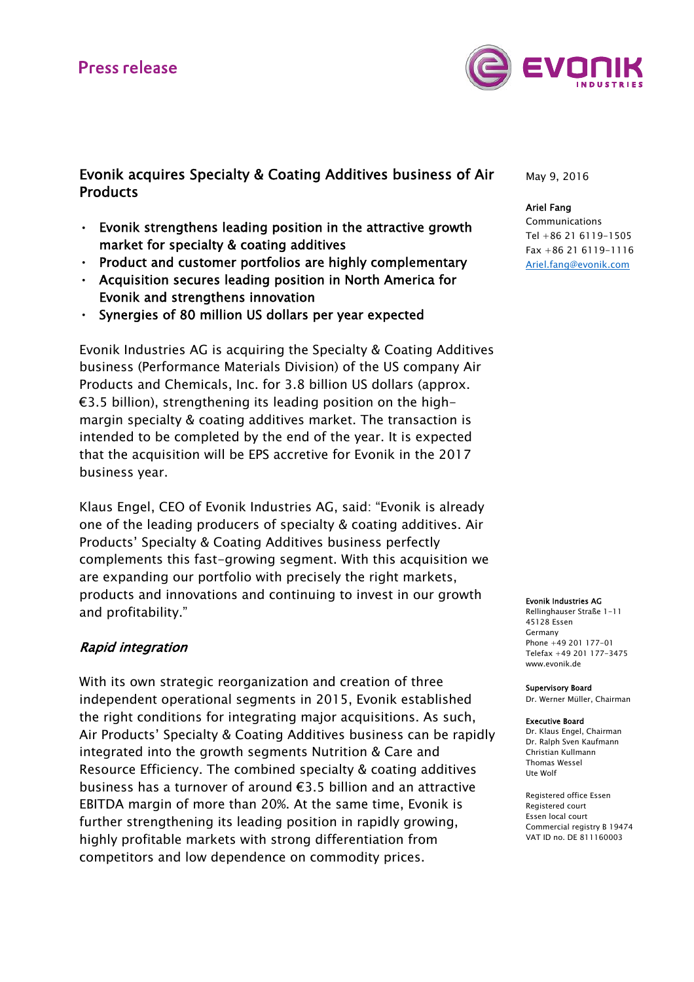# **Press release**



Evonik acquires Specialty & Coating Additives business of Air **Products** 

- Evonik strengthens leading position in the attractive growth market for specialty & coating additives
- Product and customer portfolios are highly complementary
- Acquisition secures leading position in North America for Evonik and strengthens innovation
- Synergies of 80 million US dollars per year expected

Evonik Industries AG is acquiring the Specialty & Coating Additives business (Performance Materials Division) of the US company Air Products and Chemicals, Inc. for 3.8 billion US dollars (approx. €3.5 billion), strengthening its leading position on the highmargin specialty & coating additives market. The transaction is intended to be completed by the end of the year. It is expected that the acquisition will be EPS accretive for Evonik in the 2017 business year.

Klaus Engel, CEO of Evonik Industries AG, said: "Evonik is already one of the leading producers of specialty & coating additives. Air Products' Specialty & Coating Additives business perfectly complements this fast-growing segment. With this acquisition we are expanding our portfolio with precisely the right markets, products and innovations and continuing to invest in our growth and profitability."

### Rapid integration

With its own strategic reorganization and creation of three independent operational segments in 2015, Evonik established the right conditions for integrating major acquisitions. As such, Air Products' Specialty & Coating Additives business can be rapidly integrated into the growth segments Nutrition & Care and Resource Efficiency. The combined specialty & coating additives business has a turnover of around €3.5 billion and an attractive EBITDA margin of more than 20%. At the same time, Evonik is further strengthening its leading position in rapidly growing, highly profitable markets with strong differentiation from competitors and low dependence on commodity prices.

May 9, 2016

#### Ariel Fang

Communications Tel +86 21 6119-1505 Fax +86 21 6119-1116 Ariel.fang@evonik.com

#### Evonik Industries AG

Rellinghauser Straße 1-11 45128 Essen Germany Phone +49 201 177-01 Telefax +49 201 177-3475 www.evonik.de

#### Supervisory Board

Dr. Werner Müller, Chairman

#### Executive Board

Dr. Klaus Engel, Chairman Dr. Ralph Sven Kaufmann Christian Kullmann Thomas Wessel Ute Wolf

Registered office Essen Registered court Essen local court Commercial registry B 19474 VAT ID no. DE 811160003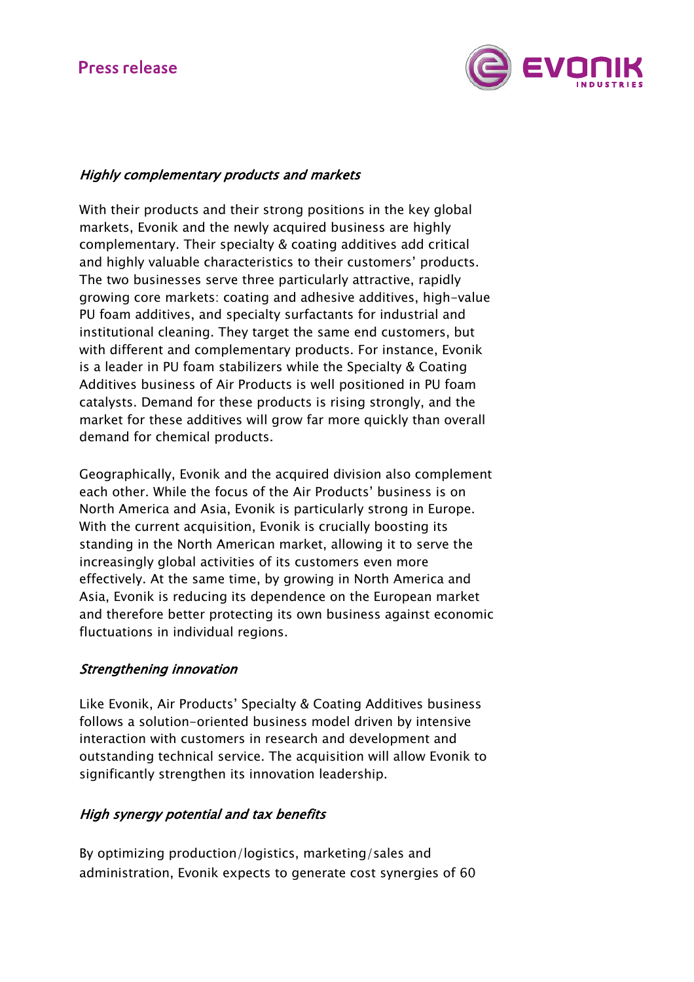# **Press release**



## Highly complementary products and markets

With their products and their strong positions in the key global markets, Evonik and the newly acquired business are highly complementary. Their specialty & coating additives add critical and highly valuable characteristics to their customers' products. The two businesses serve three particularly attractive, rapidly growing core markets: coating and adhesive additives, high-value PU foam additives, and specialty surfactants for industrial and institutional cleaning. They target the same end customers, but with different and complementary products. For instance, Evonik is a leader in PU foam stabilizers while the Specialty & Coating Additives business of Air Products is well positioned in PU foam catalysts. Demand for these products is rising strongly, and the market for these additives will grow far more quickly than overall demand for chemical products.

Geographically, Evonik and the acquired division also complement each other. While the focus of the Air Products' business is on North America and Asia, Evonik is particularly strong in Europe. With the current acquisition, Evonik is crucially boosting its standing in the North American market, allowing it to serve the increasingly global activities of its customers even more effectively. At the same time, by growing in North America and Asia, Evonik is reducing its dependence on the European market and therefore better protecting its own business against economic fluctuations in individual regions.

## Strengthening innovation

Like Evonik, Air Products' Specialty & Coating Additives business follows a solution-oriented business model driven by intensive interaction with customers in research and development and outstanding technical service. The acquisition will allow Evonik to significantly strengthen its innovation leadership.

## High synergy potential and tax benefits

By optimizing production/logistics, marketing/sales and administration, Evonik expects to generate cost synergies of 60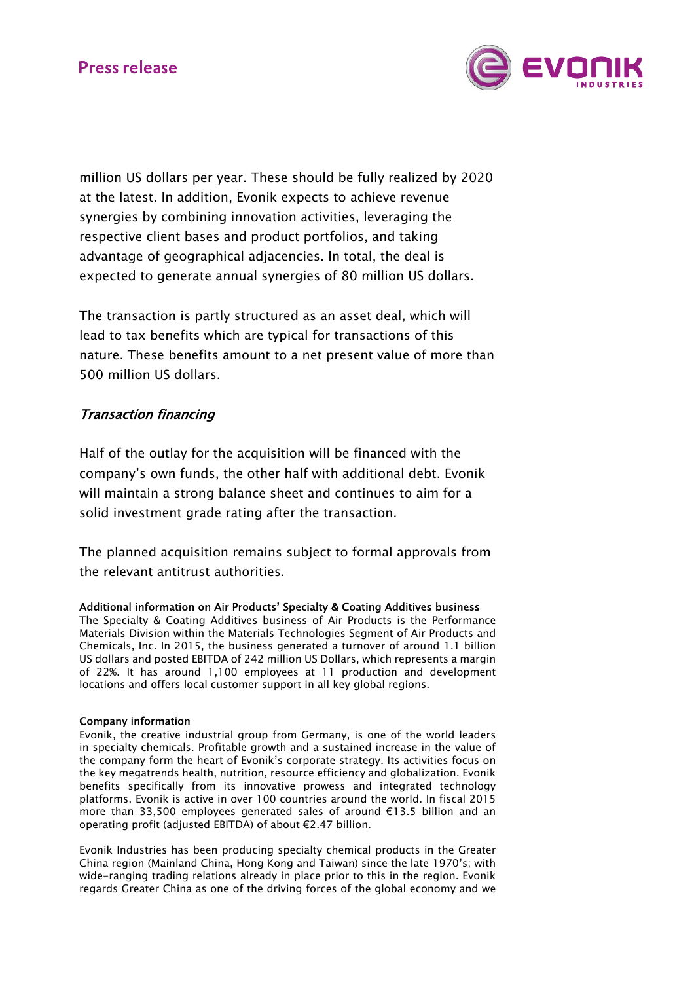

million US dollars per year. These should be fully realized by 2020 at the latest. In addition, Evonik expects to achieve revenue synergies by combining innovation activities, leveraging the respective client bases and product portfolios, and taking advantage of geographical adjacencies. In total, the deal is expected to generate annual synergies of 80 million US dollars.

The transaction is partly structured as an asset deal, which will lead to tax benefits which are typical for transactions of this nature. These benefits amount to a net present value of more than 500 million US dollars.

## Transaction financing

Half of the outlay for the acquisition will be financed with the company's own funds, the other half with additional debt. Evonik will maintain a strong balance sheet and continues to aim for a solid investment grade rating after the transaction.

The planned acquisition remains subject to formal approvals from the relevant antitrust authorities.

### Additional information on Air Products' Specialty & Coating Additives business

The Specialty & Coating Additives business of Air Products is the Performance Materials Division within the Materials Technologies Segment of Air Products and Chemicals, Inc. In 2015, the business generated a turnover of around 1.1 billion US dollars and posted EBITDA of 242 million US Dollars, which represents a margin of 22%. It has around 1,100 employees at 11 production and development locations and offers local customer support in all key global regions.

#### Company information

Evonik, the creative industrial group from Germany, is one of the world leaders in specialty chemicals. Profitable growth and a sustained increase in the value of the company form the heart of Evonik's corporate strategy. Its activities focus on the key megatrends health, nutrition, resource efficiency and globalization. Evonik benefits specifically from its innovative prowess and integrated technology platforms. Evonik is active in over 100 countries around the world. In fiscal 2015 more than 33,500 employees generated sales of around €13.5 billion and an operating profit (adjusted EBITDA) of about €2.47 billion.

Evonik Industries has been producing specialty chemical products in the Greater China region (Mainland China, Hong Kong and Taiwan) since the late 1970's; with wide-ranging trading relations already in place prior to this in the region. Evonik regards Greater China as one of the driving forces of the global economy and we